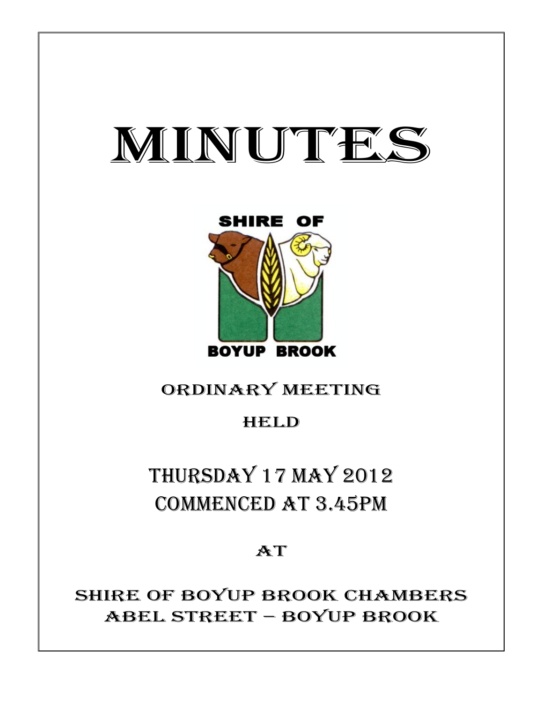# MINUTES

Ι



## ORDINARY MEETING

## HELD

THURSDAY 17 MAY 2012 COMMENCED AT 3.45PM

**AT** 

SHIRE OF BOYUP BROOK CHAMBERS ABEL STREET – BOYUP BROOK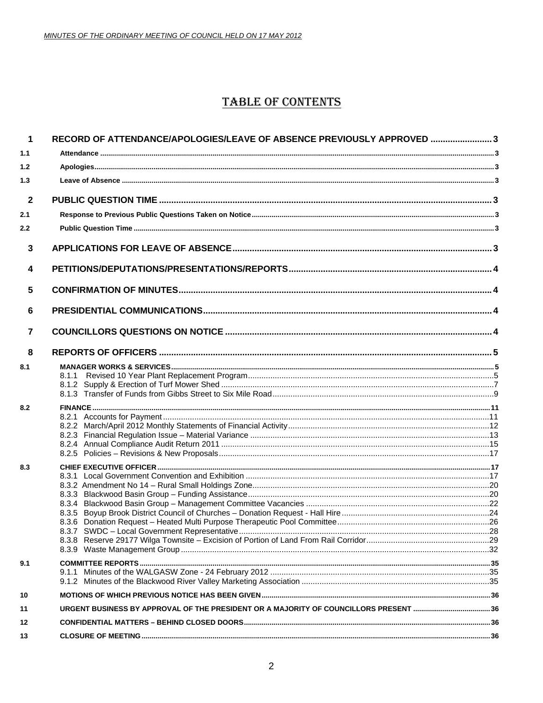## **TABLE OF CONTENTS**

| $\mathbf 1$             | RECORD OF ATTENDANCE/APOLOGIES/LEAVE OF ABSENCE PREVIOUSLY APPROVED  3               |  |
|-------------------------|--------------------------------------------------------------------------------------|--|
| 1.1                     |                                                                                      |  |
| 1.2                     |                                                                                      |  |
| 1.3                     |                                                                                      |  |
| $\mathbf{2}$            |                                                                                      |  |
| 2.1                     |                                                                                      |  |
| 2.2                     |                                                                                      |  |
| 3                       |                                                                                      |  |
| $\overline{\mathbf{4}}$ |                                                                                      |  |
| 5                       |                                                                                      |  |
| 6                       |                                                                                      |  |
| $\overline{7}$          |                                                                                      |  |
| 8                       |                                                                                      |  |
| 8.1                     | 8.1.1                                                                                |  |
| 8.2                     |                                                                                      |  |
| 8.3                     |                                                                                      |  |
| 9.1                     |                                                                                      |  |
| 10                      |                                                                                      |  |
| 11                      | URGENT BUSINESS BY APPROVAL OF THE PRESIDENT OR A MAJORITY OF COUNCILLORS PRESENT 36 |  |
| 12                      |                                                                                      |  |
| 13                      |                                                                                      |  |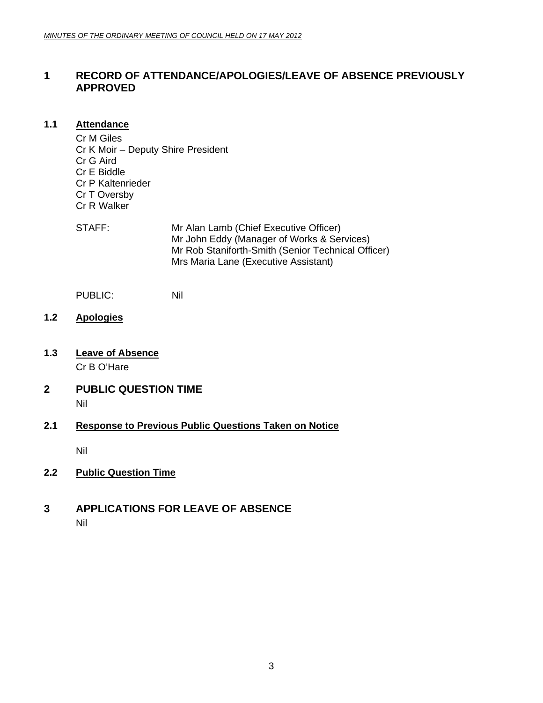## <span id="page-2-0"></span>**1 RECORD OF ATTENDANCE/APOLOGIES/LEAVE OF ABSENCE PREVIOUSLY APPROVED**

#### **1.1 Attendance**

Cr M Giles Cr K Moir – Deputy Shire President Cr G Aird Cr E Biddle Cr P Kaltenrieder Cr T Oversby Cr R Walker

| STAFF: | Mr Alan Lamb (Chief Executive Officer)             |
|--------|----------------------------------------------------|
|        | Mr John Eddy (Manager of Works & Services)         |
|        | Mr Rob Staniforth-Smith (Senior Technical Officer) |
|        | Mrs Maria Lane (Executive Assistant)               |

PUBLIC: Nil

- **1.2 Apologies**
- **1.3 Leave of Absence**

Cr B O'Hare

**2 PUBLIC QUESTION TIME**  Nil

### **2.1 Response to Previous Public Questions Taken on Notice**

Nil

**2.2 Public Question Time**

### **3 APPLICATIONS FOR LEAVE OF ABSENCE**  Nil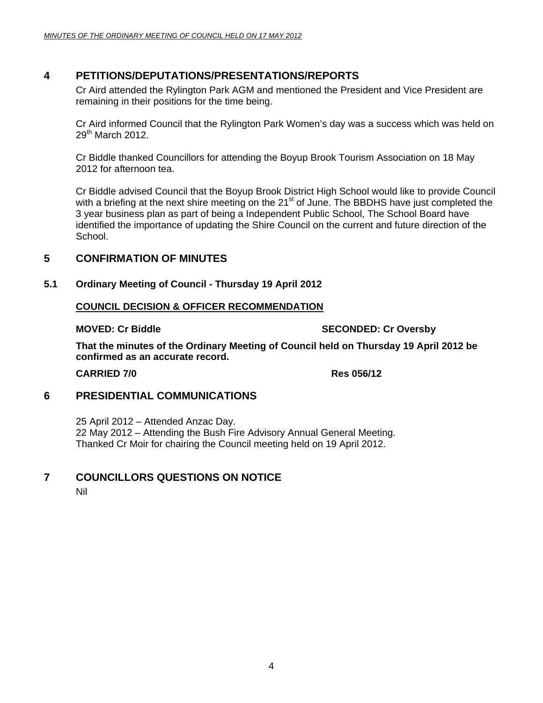## <span id="page-3-0"></span>**4 PETITIONS/DEPUTATIONS/PRESENTATIONS/REPORTS**

Cr Aird attended the Rylington Park AGM and mentioned the President and Vice President are remaining in their positions for the time being.

Cr Aird informed Council that the Rylington Park Women's day was a success which was held on  $29<sup>th</sup>$  March 2012.

Cr Biddle thanked Councillors for attending the Boyup Brook Tourism Association on 18 May 2012 for afternoon tea.

Cr Biddle advised Council that the Boyup Brook District High School would like to provide Council with a briefing at the next shire meeting on the 21<sup>st</sup> of June. The BBDHS have just completed the 3 year business plan as part of being a Independent Public School, The School Board have identified the importance of updating the Shire Council on the current and future direction of the School.

## **5 CONFIRMATION OF MINUTES**

#### **5.1 Ordinary Meeting of Council - Thursday 19 April 2012**

#### **COUNCIL DECISION & OFFICER RECOMMENDATION**

#### **MOVED: Cr Biddle SECONDED: Cr Oversby**

**That the minutes of the Ordinary Meeting of Council held on Thursday 19 April 2012 be confirmed as an accurate record.** 

**CARRIED 7/0 Res 056/12** 

## **6 PRESIDENTIAL COMMUNICATIONS**

25 April 2012 – Attended Anzac Day. 22 May 2012 – Attending the Bush Fire Advisory Annual General Meeting. Thanked Cr Moir for chairing the Council meeting held on 19 April 2012.

### **7 COUNCILLORS QUESTIONS ON NOTICE**

Nil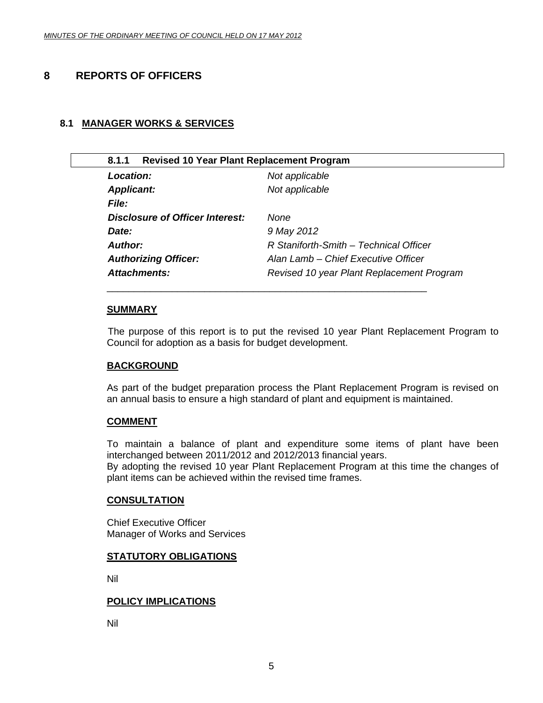## <span id="page-4-0"></span>**8 REPORTS OF OFFICERS**

#### **8.1 MANAGER WORKS & SERVICES**

| <b>Revised 10 Year Plant Replacement Program</b><br>8.1.1 |                                           |
|-----------------------------------------------------------|-------------------------------------------|
| Location:                                                 | Not applicable                            |
| <b>Applicant:</b>                                         | Not applicable                            |
| <i>File:</i>                                              |                                           |
| Disclosure of Officer Interest:                           | None                                      |
| Date:                                                     | 9 May 2012                                |
| Author:                                                   | R Staniforth-Smith - Technical Officer    |
| <b>Authorizing Officer:</b>                               | Alan Lamb – Chief Executive Officer       |
| Attachments:                                              | Revised 10 year Plant Replacement Program |
|                                                           |                                           |

\_\_\_\_\_\_\_\_\_\_\_\_\_\_\_\_\_\_\_\_\_\_\_\_\_\_\_\_\_\_\_\_\_\_\_\_\_\_\_\_\_\_\_\_\_\_\_\_\_\_\_\_\_\_\_\_\_\_\_

#### **SUMMARY**

 The purpose of this report is to put the revised 10 year Plant Replacement Program to Council for adoption as a basis for budget development.

#### **BACKGROUND**

As part of the budget preparation process the Plant Replacement Program is revised on an annual basis to ensure a high standard of plant and equipment is maintained.

#### **COMMENT**

To maintain a balance of plant and expenditure some items of plant have been interchanged between 2011/2012 and 2012/2013 financial years. By adopting the revised 10 year Plant Replacement Program at this time the changes of plant items can be achieved within the revised time frames.

#### **CONSULTATION**

Chief Executive Officer Manager of Works and Services

#### **STATUTORY OBLIGATIONS**

Nil

#### **POLICY IMPLICATIONS**

Nil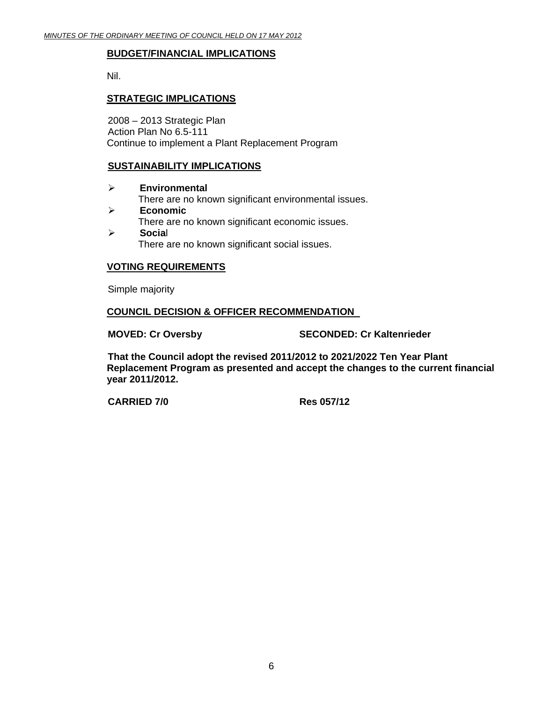#### **BUDGET/FINANCIAL IMPLICATIONS**

Nil.

#### **STRATEGIC IMPLICATIONS**

2008 – 2013 Strategic Plan Action Plan No 6.5-111 Continue to implement a Plant Replacement Program

#### **SUSTAINABILITY IMPLICATIONS**

- ¾ **Environmental**  There are no known significant environmental issues. ¾ **Economic**
- There are no known significant economic issues. ¾ **Socia**l
	- There are no known significant social issues.

#### **VOTING REQUIREMENTS**

Simple majority

#### **COUNCIL DECISION & OFFICER RECOMMENDATION**

**MOVED: Cr Oversby SECONDED: Cr Kaltenrieder** 

**That the Council adopt the revised 2011/2012 to 2021/2022 Ten Year Plant Replacement Program as presented and accept the changes to the current financial year 2011/2012.** 

 **CARRIED 7/0 Res 057/12**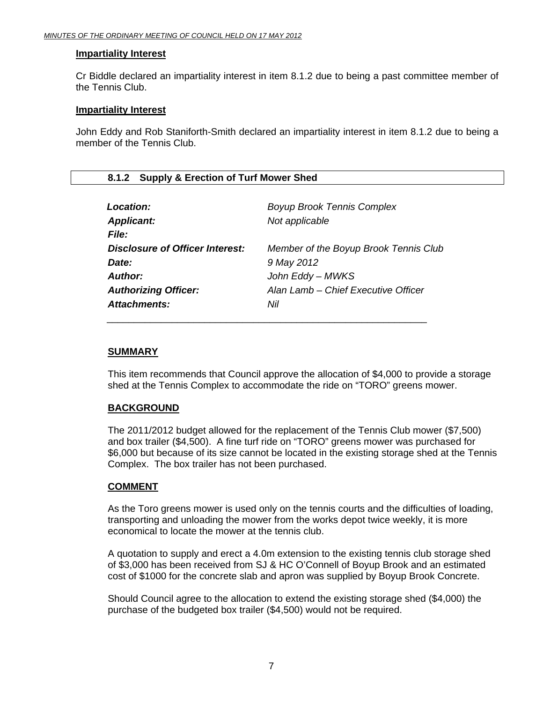#### <span id="page-6-0"></span>**Impartiality Interest**

Cr Biddle declared an impartiality interest in item 8.1.2 due to being a past committee member of the Tennis Club.

#### **Impartiality Interest**

John Eddy and Rob Staniforth-Smith declared an impartiality interest in item 8.1.2 due to being a member of the Tennis Club.

#### **8.1.2 Supply & Erection of Turf Mower Shed**

| Location:                              | <b>Boyup Brook Tennis Complex</b>     |
|----------------------------------------|---------------------------------------|
| <b>Applicant:</b>                      | Not applicable                        |
| <b>File:</b>                           |                                       |
| <b>Disclosure of Officer Interest:</b> | Member of the Boyup Brook Tennis Club |
| Date:                                  | 9 May 2012                            |
| Author:                                | John Eddy - MWKS                      |
| <b>Authorizing Officer:</b>            | Alan Lamb - Chief Executive Officer   |
| Attachments:                           | Nil                                   |
|                                        |                                       |

#### **SUMMARY**

This item recommends that Council approve the allocation of \$4,000 to provide a storage shed at the Tennis Complex to accommodate the ride on "TORO" greens mower.

#### **BACKGROUND**

The 2011/2012 budget allowed for the replacement of the Tennis Club mower (\$7,500) and box trailer (\$4,500). A fine turf ride on "TORO" greens mower was purchased for \$6,000 but because of its size cannot be located in the existing storage shed at the Tennis Complex. The box trailer has not been purchased.

#### **COMMENT**

As the Toro greens mower is used only on the tennis courts and the difficulties of loading, transporting and unloading the mower from the works depot twice weekly, it is more economical to locate the mower at the tennis club.

A quotation to supply and erect a 4.0m extension to the existing tennis club storage shed of \$3,000 has been received from SJ & HC O'Connell of Boyup Brook and an estimated cost of \$1000 for the concrete slab and apron was supplied by Boyup Brook Concrete.

Should Council agree to the allocation to extend the existing storage shed (\$4,000) the purchase of the budgeted box trailer (\$4,500) would not be required.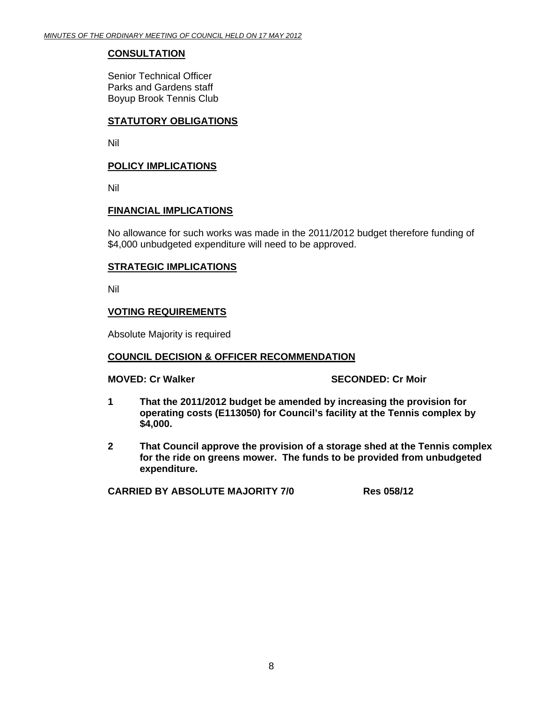#### **CONSULTATION**

Senior Technical Officer Parks and Gardens staff Boyup Brook Tennis Club

#### **STATUTORY OBLIGATIONS**

Nil

#### **POLICY IMPLICATIONS**

Nil

#### **FINANCIAL IMPLICATIONS**

No allowance for such works was made in the 2011/2012 budget therefore funding of \$4,000 unbudgeted expenditure will need to be approved.

#### **STRATEGIC IMPLICATIONS**

Nil

#### **VOTING REQUIREMENTS**

Absolute Majority is required

#### **COUNCIL DECISION & OFFICER RECOMMENDATION**

#### **MOVED: Cr Walker SECONDED: Cr Moir and SECONDED: Cr Moir**

- **1 That the 2011/2012 budget be amended by increasing the provision for operating costs (E113050) for Council's facility at the Tennis complex by \$4,000.**
- **2 That Council approve the provision of a storage shed at the Tennis complex for the ride on greens mower. The funds to be provided from unbudgeted expenditure.**

**CARRIED BY ABSOLUTE MAJORITY 7/0 Res 058/12**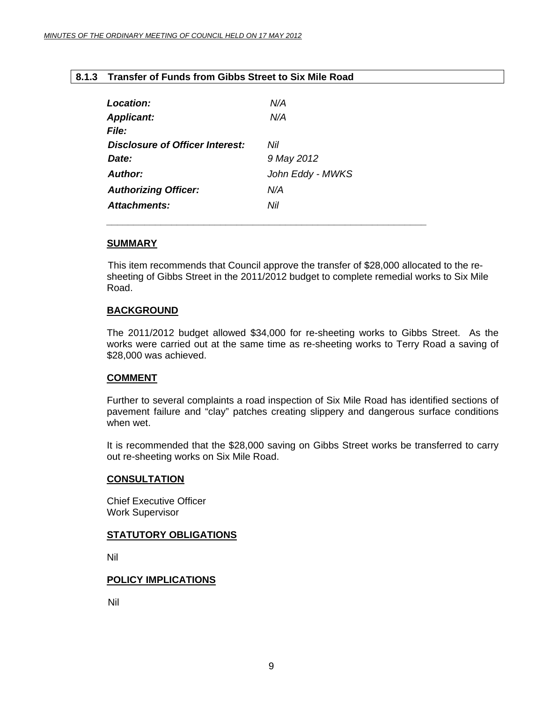#### <span id="page-8-0"></span>**8.1.3 Transfer of Funds from Gibbs Street to Six Mile Road**

| <b>Location:</b>                | N/A              |
|---------------------------------|------------------|
| <b>Applicant:</b>               | N/A              |
| <i>File:</i>                    |                  |
| Disclosure of Officer Interest: | Nil              |
| Date:                           | 9 May 2012       |
| Author:                         | John Eddy - MWKS |
| <b>Authorizing Officer:</b>     | N/A              |
| Attachments:                    | Nil              |
|                                 |                  |

 *\_\_\_\_\_\_\_\_\_\_\_\_\_\_\_\_\_\_\_\_\_\_\_\_\_\_\_\_\_\_\_\_\_\_\_\_\_\_\_\_\_\_\_\_\_\_\_\_\_\_\_\_\_\_\_\_\_\_\_* 

#### **SUMMARY**

 This item recommends that Council approve the transfer of \$28,000 allocated to the resheeting of Gibbs Street in the 2011/2012 budget to complete remedial works to Six Mile Road.

#### **BACKGROUND**

The 2011/2012 budget allowed \$34,000 for re-sheeting works to Gibbs Street. As the works were carried out at the same time as re-sheeting works to Terry Road a saving of \$28,000 was achieved.

#### **COMMENT**

Further to several complaints a road inspection of Six Mile Road has identified sections of pavement failure and "clay" patches creating slippery and dangerous surface conditions when wet.

It is recommended that the \$28,000 saving on Gibbs Street works be transferred to carry out re-sheeting works on Six Mile Road.

#### **CONSULTATION**

Chief Executive Officer Work Supervisor

#### **STATUTORY OBLIGATIONS**

Nil

#### **POLICY IMPLICATIONS**

Nil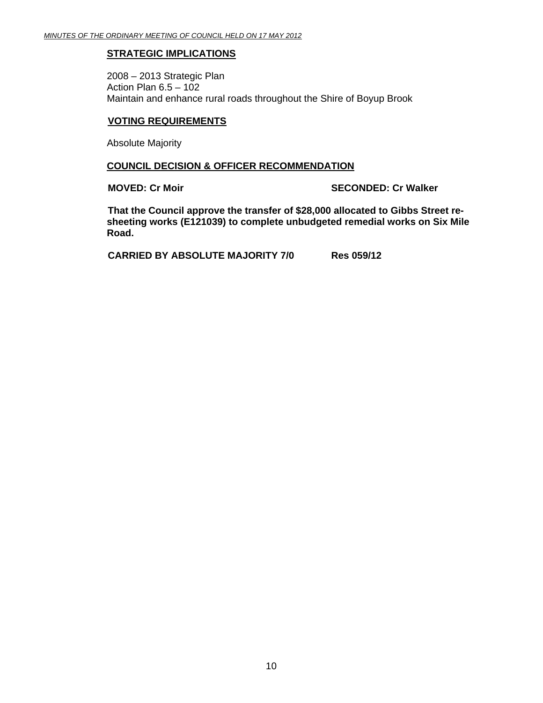#### **STRATEGIC IMPLICATIONS**

2008 – 2013 Strategic Plan Action Plan 6.5 – 102 Maintain and enhance rural roads throughout the Shire of Boyup Brook

#### **VOTING REQUIREMENTS**

Absolute Majority

#### **COUNCIL DECISION & OFFICER RECOMMENDATION**

**MOVED: Cr Moir** SECONDED: Cr Walker

 **That the Council approve the transfer of \$28,000 allocated to Gibbs Street resheeting works (E121039) to complete unbudgeted remedial works on Six Mile Road.** 

 **CARRIED BY ABSOLUTE MAJORITY 7/0 Res 059/12**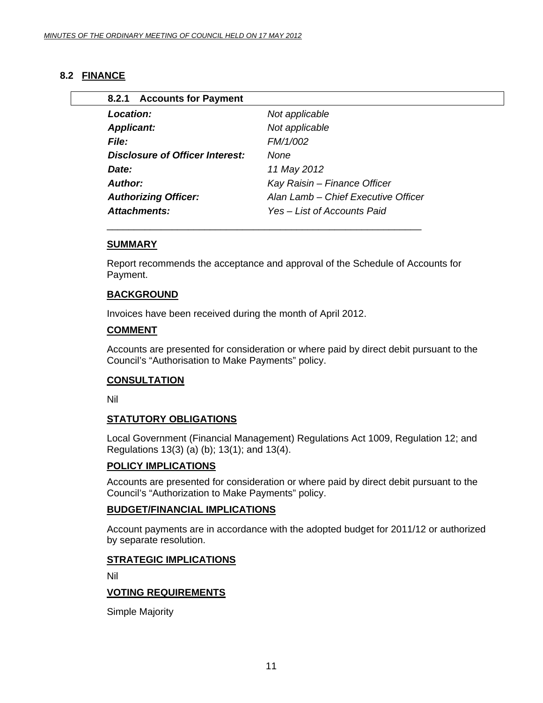### <span id="page-10-0"></span>**8.2 FINANCE**

| <b>Location:</b>                | Not applicable                      |
|---------------------------------|-------------------------------------|
| <b>Applicant:</b>               | Not applicable                      |
| <b>File:</b>                    | FM/1/002                            |
| Disclosure of Officer Interest: | None                                |
| Date:                           | 11 May 2012                         |
| Author:                         | Kay Raisin - Finance Officer        |
| <b>Authorizing Officer:</b>     | Alan Lamb - Chief Executive Officer |
| <b>Attachments:</b>             | Yes – List of Accounts Paid         |

#### **SUMMARY**

Report recommends the acceptance and approval of the Schedule of Accounts for Payment.

#### **BACKGROUND**

Invoices have been received during the month of April 2012.

#### **COMMENT**

Accounts are presented for consideration or where paid by direct debit pursuant to the Council's "Authorisation to Make Payments" policy.

#### **CONSULTATION**

Nil

#### **STATUTORY OBLIGATIONS**

Local Government (Financial Management) Regulations Act 1009, Regulation 12; and Regulations 13(3) (a) (b); 13(1); and 13(4).

#### **POLICY IMPLICATIONS**

Accounts are presented for consideration or where paid by direct debit pursuant to the Council's "Authorization to Make Payments" policy.

#### **BUDGET/FINANCIAL IMPLICATIONS**

Account payments are in accordance with the adopted budget for 2011/12 or authorized by separate resolution.

#### **STRATEGIC IMPLICATIONS**

Nil

#### **VOTING REQUIREMENTS**

Simple Majority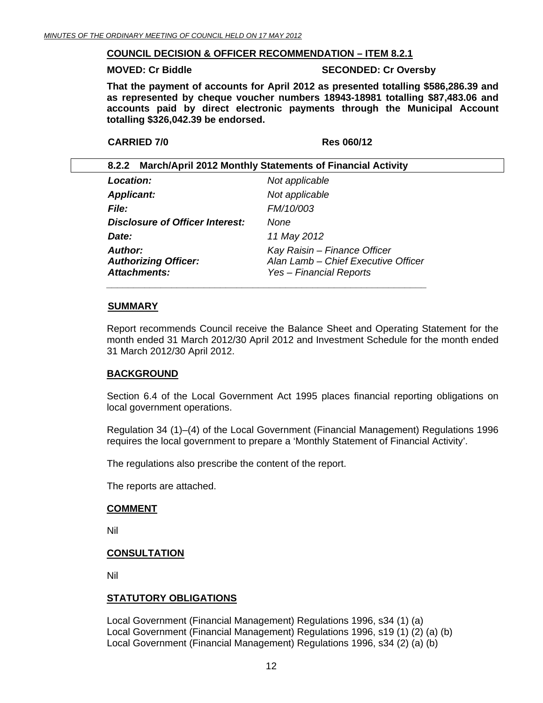#### <span id="page-11-0"></span>**COUNCIL DECISION & OFFICER RECOMMENDATION – ITEM 8.2.1**

#### **MOVED: Cr Biddle SECONDED: Cr Oversby**

**That the payment of accounts for April 2012 as presented totalling \$586,286.39 and as represented by cheque voucher numbers 18943-18981 totalling \$87,483.06 and accounts paid by direct electronic payments through the Municipal Account totalling \$326,042.39 be endorsed.** 

```
 CARRIED 7/0 Res 060/12
```

| 8.2.2 March/April 2012 Monthly Statements of Financial Activity      |                                                                                                |
|----------------------------------------------------------------------|------------------------------------------------------------------------------------------------|
| <b>Location:</b>                                                     | Not applicable                                                                                 |
| <b>Applicant:</b>                                                    | Not applicable                                                                                 |
| <i>File:</i>                                                         | FM/10/003                                                                                      |
| Disclosure of Officer Interest:                                      | None                                                                                           |
| Date:                                                                | 11 May 2012                                                                                    |
| <b>Author:</b><br><b>Authorizing Officer:</b><br><b>Attachments:</b> | Kay Raisin - Finance Officer<br>Alan Lamb - Chief Executive Officer<br>Yes – Financial Reports |

#### **SUMMARY**

Report recommends Council receive the Balance Sheet and Operating Statement for the month ended 31 March 2012/30 April 2012 and Investment Schedule for the month ended 31 March 2012/30 April 2012.

#### **BACKGROUND**

Section 6.4 of the Local Government Act 1995 places financial reporting obligations on local government operations.

Regulation 34 (1)–(4) of the Local Government (Financial Management) Regulations 1996 requires the local government to prepare a 'Monthly Statement of Financial Activity'.

The regulations also prescribe the content of the report.

The reports are attached.

#### **COMMENT**

Nil

#### **CONSULTATION**

Nil

#### **STATUTORY OBLIGATIONS**

Local Government (Financial Management) Regulations 1996, s34 (1) (a) Local Government (Financial Management) Regulations 1996, s19 (1) (2) (a) (b) Local Government (Financial Management) Regulations 1996, s34 (2) (a) (b)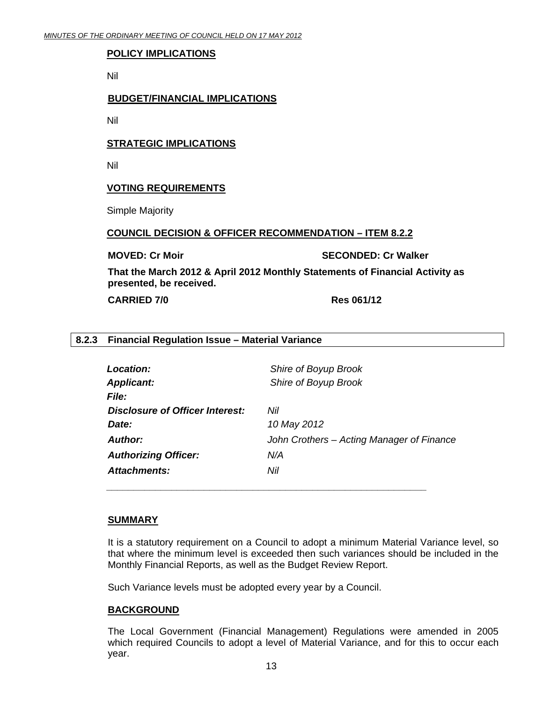#### <span id="page-12-0"></span>**POLICY IMPLICATIONS**

Nil

#### **BUDGET/FINANCIAL IMPLICATIONS**

Nil

#### **STRATEGIC IMPLICATIONS**

Nil

#### **VOTING REQUIREMENTS**

Simple Majority

#### **COUNCIL DECISION & OFFICER RECOMMENDATION – ITEM 8.2.2**

**MOVED: Cr Moir SECONDED: Cr Walker All CONDED: Cr Walker** 

**That the March 2012 & April 2012 Monthly Statements of Financial Activity as presented, be received.** 

**CARRIED 7/0 Res 061/12** 

#### **8.2.3 Financial Regulation Issue – Material Variance**

| Location:                       | Shire of Boyup Brook                      |
|---------------------------------|-------------------------------------------|
| <b>Applicant:</b>               | Shire of Boyup Brook                      |
| File:                           |                                           |
| Disclosure of Officer Interest: | Nil                                       |
| Date:                           | 10 May 2012                               |
| <b>Author:</b>                  | John Crothers – Acting Manager of Finance |
| <b>Authorizing Officer:</b>     | N/A                                       |
| <b>Attachments:</b>             | Nil                                       |
|                                 |                                           |

#### **SUMMARY**

It is a statutory requirement on a Council to adopt a minimum Material Variance level, so that where the minimum level is exceeded then such variances should be included in the Monthly Financial Reports, as well as the Budget Review Report.

Such Variance levels must be adopted every year by a Council.

#### **BACKGROUND**

The Local Government (Financial Management) Regulations were amended in 2005 which required Councils to adopt a level of Material Variance, and for this to occur each year.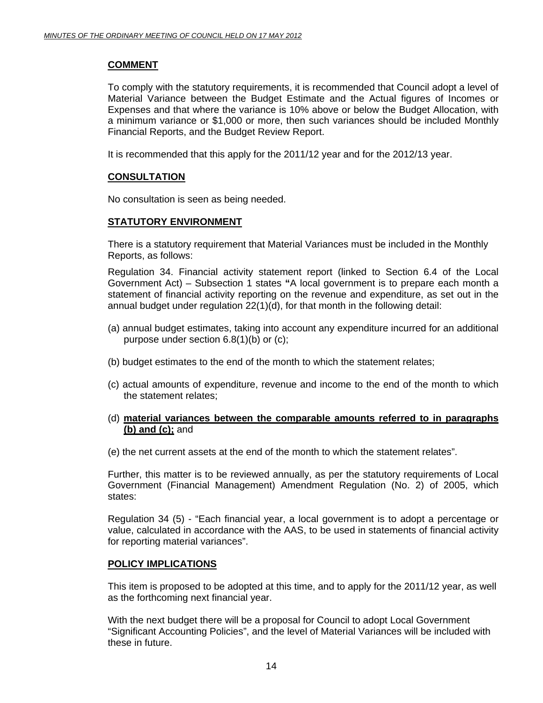#### **COMMENT**

To comply with the statutory requirements, it is recommended that Council adopt a level of Material Variance between the Budget Estimate and the Actual figures of Incomes or Expenses and that where the variance is 10% above or below the Budget Allocation, with a minimum variance or \$1,000 or more, then such variances should be included Monthly Financial Reports, and the Budget Review Report.

It is recommended that this apply for the 2011/12 year and for the 2012/13 year.

#### **CONSULTATION**

No consultation is seen as being needed.

#### **STATUTORY ENVIRONMENT**

There is a statutory requirement that Material Variances must be included in the Monthly Reports, as follows:

Regulation 34. Financial activity statement report (linked to Section 6.4 of the Local Government Act) – Subsection 1 states **"**A local government is to prepare each month a statement of financial activity reporting on the revenue and expenditure, as set out in the annual budget under regulation 22(1)(d), for that month in the following detail:

- (a) annual budget estimates, taking into account any expenditure incurred for an additional purpose under section 6.8(1)(b) or (c);
- (b) budget estimates to the end of the month to which the statement relates;
- (c) actual amounts of expenditure, revenue and income to the end of the month to which the statement relates;

#### (d) **material variances between the comparable amounts referred to in paragraphs (b) and (c);** and

(e) the net current assets at the end of the month to which the statement relates".

Further, this matter is to be reviewed annually, as per the statutory requirements of Local Government (Financial Management) Amendment Regulation (No. 2) of 2005, which states:

Regulation 34 (5) - "Each financial year, a local government is to adopt a percentage or value, calculated in accordance with the AAS, to be used in statements of financial activity for reporting material variances".

#### **POLICY IMPLICATIONS**

This item is proposed to be adopted at this time, and to apply for the 2011/12 year, as well as the forthcoming next financial year.

With the next budget there will be a proposal for Council to adopt Local Government "Significant Accounting Policies", and the level of Material Variances will be included with these in future.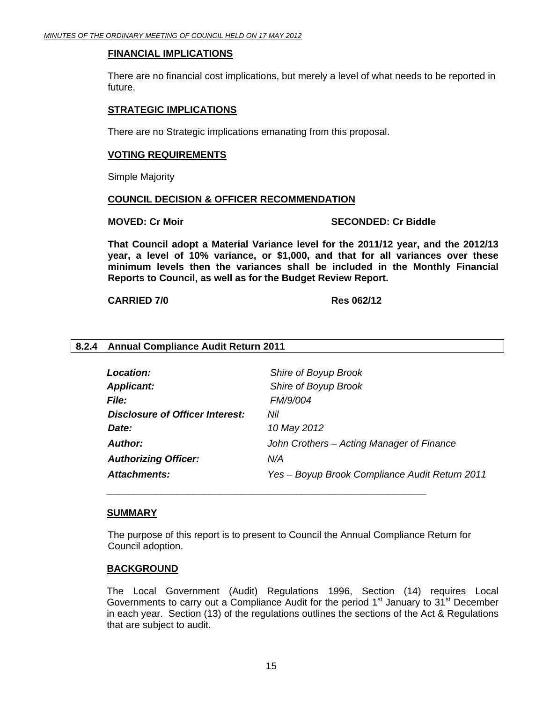#### <span id="page-14-0"></span>**FINANCIAL IMPLICATIONS**

There are no financial cost implications, but merely a level of what needs to be reported in future.

#### **STRATEGIC IMPLICATIONS**

There are no Strategic implications emanating from this proposal.

#### **VOTING REQUIREMENTS**

Simple Majority

#### **COUNCIL DECISION & OFFICER RECOMMENDATION**

 *\_\_\_\_\_\_\_\_\_\_\_\_\_\_\_\_\_\_\_\_\_\_\_\_\_\_\_\_\_\_\_\_\_\_\_\_\_\_\_\_\_\_\_\_\_\_\_\_\_\_\_\_\_\_\_\_\_\_\_* 

#### **MOVED: Cr Moir** SECONDED: Cr Biddle

**That Council adopt a Material Variance level for the 2011/12 year, and the 2012/13 year, a level of 10% variance, or \$1,000, and that for all variances over these minimum levels then the variances shall be included in the Monthly Financial Reports to Council, as well as for the Budget Review Report.** 

**CARRIED 7/0 Res 062/12** 

#### **8.2.4 Annual Compliance Audit Return 2011**

| Location:                       | Shire of Boyup Brook                           |
|---------------------------------|------------------------------------------------|
| <b>Applicant:</b>               | Shire of Boyup Brook                           |
| <i>File:</i>                    | <b>FM/9/004</b>                                |
| Disclosure of Officer Interest: | Nil                                            |
| Date:                           | 10 May 2012                                    |
| Author:                         | John Crothers - Acting Manager of Finance      |
| <b>Authorizing Officer:</b>     | N/A                                            |
| Attachments:                    | Yes - Boyup Brook Compliance Audit Return 2011 |

#### **SUMMARY**

The purpose of this report is to present to Council the Annual Compliance Return for Council adoption.

#### **BACKGROUND**

The Local Government (Audit) Regulations 1996, Section (14) requires Local Governments to carry out a Compliance Audit for the period  $1<sup>st</sup>$  January to  $31<sup>st</sup>$  December in each year. Section (13) of the regulations outlines the sections of the Act & Regulations that are subject to audit.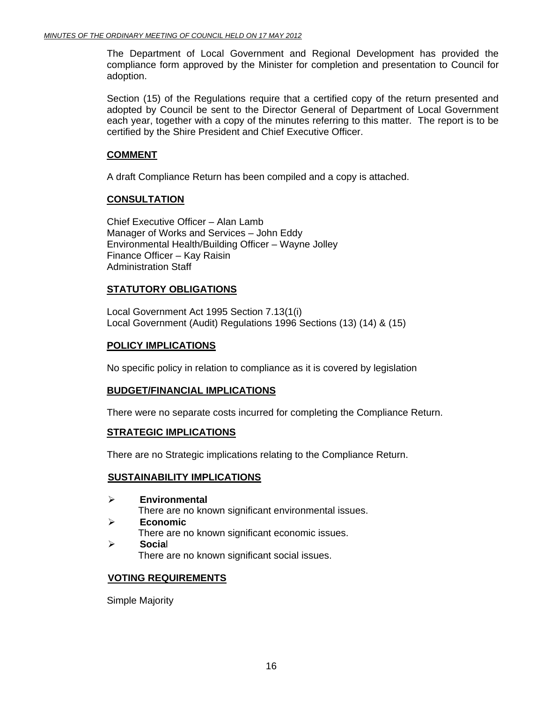The Department of Local Government and Regional Development has provided the compliance form approved by the Minister for completion and presentation to Council for adoption.

Section (15) of the Regulations require that a certified copy of the return presented and adopted by Council be sent to the Director General of Department of Local Government each year, together with a copy of the minutes referring to this matter. The report is to be certified by the Shire President and Chief Executive Officer.

#### **COMMENT**

A draft Compliance Return has been compiled and a copy is attached.

### **CONSULTATION**

Chief Executive Officer – Alan Lamb Manager of Works and Services – John Eddy Environmental Health/Building Officer – Wayne Jolley Finance Officer – Kay Raisin Administration Staff

### **STATUTORY OBLIGATIONS**

Local Government Act 1995 Section 7.13(1(i) Local Government (Audit) Regulations 1996 Sections (13) (14) & (15)

#### **POLICY IMPLICATIONS**

No specific policy in relation to compliance as it is covered by legislation

#### **BUDGET/FINANCIAL IMPLICATIONS**

There were no separate costs incurred for completing the Compliance Return.

#### **STRATEGIC IMPLICATIONS**

There are no Strategic implications relating to the Compliance Return.

#### **SUSTAINABILITY IMPLICATIONS**

- ¾ **Environmental**  There are no known significant environmental issues. ¾ **Economic** 
	- There are no known significant economic issues.
- ¾ **Socia**l There are no known significant social issues.

#### **VOTING REQUIREMENTS**

Simple Majority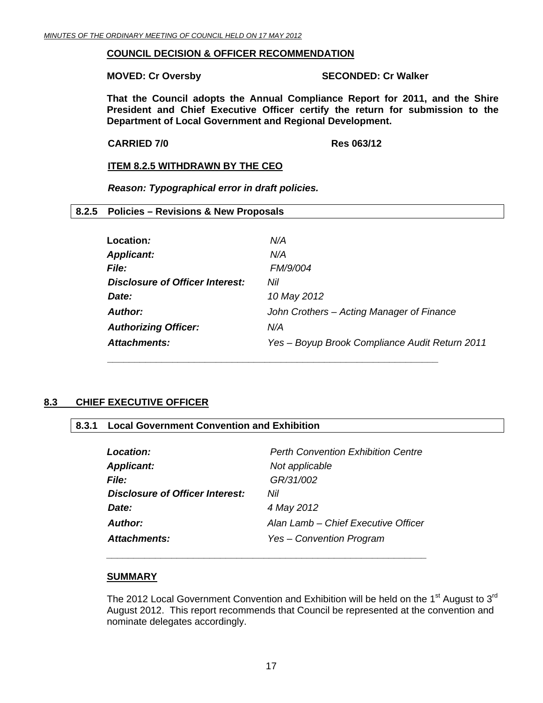#### <span id="page-16-0"></span>**COUNCIL DECISION & OFFICER RECOMMENDATION**

#### **MOVED: Cr Oversby SECONDED: Cr Walker**

**That the Council adopts the Annual Compliance Report for 2011, and the Shire President and Chief Executive Officer certify the return for submission to the Department of Local Government and Regional Development.** 

**CARRIED 7/0 Res 063/12** 

#### **ITEM 8.2.5 WITHDRAWN BY THE CEO**

*Reason: Typographical error in draft policies.* 

#### **8.2.5 Policies – Revisions & New Proposals**

| Location:                       | N/A                                            |
|---------------------------------|------------------------------------------------|
| <b>Applicant:</b>               | N/A                                            |
| File:                           | FM/9/004                                       |
| Disclosure of Officer Interest: | Nil                                            |
| Date:                           | 10 May 2012                                    |
| Author:                         | John Crothers – Acting Manager of Finance      |
| <b>Authorizing Officer:</b>     | N/A                                            |
| Attachments:                    | Yes - Boyup Brook Compliance Audit Return 2011 |

### **8.3 CHIEF EXECUTIVE OFFICER**

#### **8.3.1 Local Government Convention and Exhibition**

| Location:                              | <b>Perth Convention Exhibition Centre</b> |
|----------------------------------------|-------------------------------------------|
| <b>Applicant:</b>                      | Not applicable                            |
| <b>File:</b>                           | GR/31/002                                 |
| <b>Disclosure of Officer Interest:</b> | Nil                                       |
| Date:                                  | 4 May 2012                                |
| Author:                                | Alan Lamb – Chief Executive Officer       |
| Attachments:                           | Yes - Convention Program                  |

 *\_\_\_\_\_\_\_\_\_\_\_\_\_\_\_\_\_\_\_\_\_\_\_\_\_\_\_\_\_\_\_\_\_\_\_\_\_\_\_\_\_\_\_\_\_\_\_\_\_\_\_\_\_\_\_\_\_\_\_* 

#### **SUMMARY**

The 2012 Local Government Convention and Exhibition will be held on the 1<sup>st</sup> August to 3<sup>rd</sup> August 2012. This report recommends that Council be represented at the convention and nominate delegates accordingly.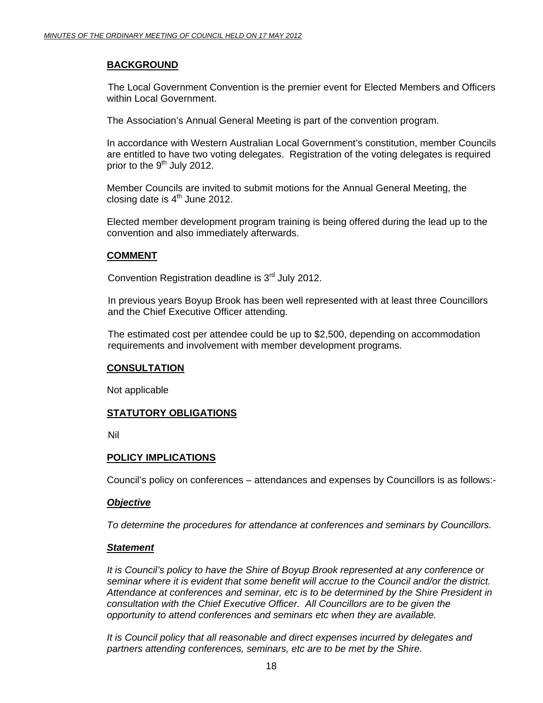#### **BACKGROUND**

 The Local Government Convention is the premier event for Elected Members and Officers within Local Government.

The Association's Annual General Meeting is part of the convention program.

In accordance with Western Australian Local Government's constitution, member Councils are entitled to have two voting delegates. Registration of the voting delegates is required prior to the  $9<sup>th</sup>$  July 2012.

Member Councils are invited to submit motions for the Annual General Meeting, the closing date is  $4<sup>th</sup>$  June 2012.

Elected member development program training is being offered during the lead up to the convention and also immediately afterwards.

#### **COMMENT**

Convention Registration deadline is 3<sup>rd</sup> July 2012.

In previous years Boyup Brook has been well represented with at least three Councillors and the Chief Executive Officer attending.

The estimated cost per attendee could be up to \$2,500, depending on accommodation requirements and involvement with member development programs.

#### **CONSULTATION**

Not applicable

#### **STATUTORY OBLIGATIONS**

Nil

#### **POLICY IMPLICATIONS**

Council's policy on conferences – attendances and expenses by Councillors is as follows:-

#### *Objective*

*To determine the procedures for attendance at conferences and seminars by Councillors.* 

#### *Statement*

*It is Council's policy to have the Shire of Boyup Brook represented at any conference or seminar where it is evident that some benefit will accrue to the Council and/or the district. Attendance at conferences and seminar, etc is to be determined by the Shire President in consultation with the Chief Executive Officer. All Councillors are to be given the opportunity to attend conferences and seminars etc when they are available.* 

*It is Council policy that all reasonable and direct expenses incurred by delegates and partners attending conferences, seminars, etc are to be met by the Shire.*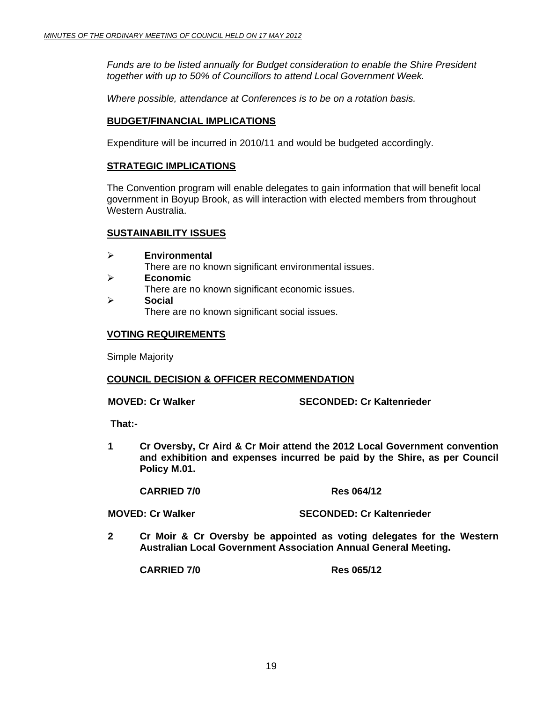*Funds are to be listed annually for Budget consideration to enable the Shire President together with up to 50% of Councillors to attend Local Government Week.* 

*Where possible, attendance at Conferences is to be on a rotation basis.* 

#### **BUDGET/FINANCIAL IMPLICATIONS**

Expenditure will be incurred in 2010/11 and would be budgeted accordingly.

#### **STRATEGIC IMPLICATIONS**

The Convention program will enable delegates to gain information that will benefit local government in Boyup Brook, as will interaction with elected members from throughout Western Australia.

#### **SUSTAINABILITY ISSUES**

- ¾ **Environmental**  There are no known significant environmental issues. ¾ **Economic**  There are no known significant economic issues.
- ¾ **Social**  There are no known significant social issues.

#### **VOTING REQUIREMENTS**

Simple Majority

#### **COUNCIL DECISION & OFFICER RECOMMENDATION**

**MOVED: Cr Walker SECONDED: Cr Kaltenrieder** 

 **That:-** 

**1 Cr Oversby, Cr Aird & Cr Moir attend the 2012 Local Government convention and exhibition and expenses incurred be paid by the Shire, as per Council Policy M.01.** 

**CARRIED 7/0 Res 064/12** 

**MOVED: Cr Walker SECONDED: Cr Kaltenrieder** 

**2 Cr Moir & Cr Oversby be appointed as voting delegates for the Western Australian Local Government Association Annual General Meeting.** 

 **CARRIED 7/0 Res 065/12**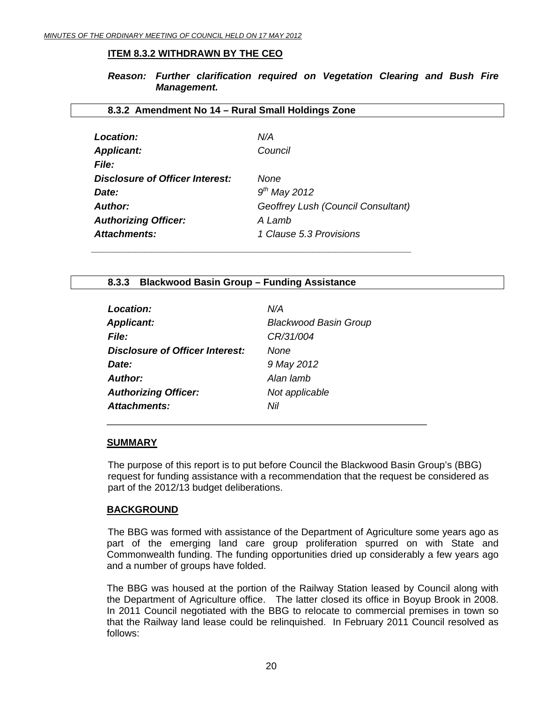#### <span id="page-19-0"></span>**ITEM 8.3.2 WITHDRAWN BY THE CEO**

*Reason: Further clarification required on Vegetation Clearing and Bush Fire Management.* 

#### **8.3.2 Amendment No 14 – Rural Small Holdings Zone**

| Location:                       | N/A                                |
|---------------------------------|------------------------------------|
| <b>Applicant:</b>               | Council                            |
| <b>File:</b>                    |                                    |
| Disclosure of Officer Interest: | None                               |
| Date:                           | $9th$ May 2012                     |
| Author:                         | Geoffrey Lush (Council Consultant) |
| <b>Authorizing Officer:</b>     | A Lamb                             |
| Attachments:                    | 1 Clause 5.3 Provisions            |

#### **8.3.3 Blackwood Basin Group – Funding Assistance**

| Location:                       | N/A                          |
|---------------------------------|------------------------------|
| <b>Applicant:</b>               | <b>Blackwood Basin Group</b> |
| <b>File:</b>                    | CR/31/004                    |
| Disclosure of Officer Interest: | None                         |
| Date:                           | 9 May 2012                   |
| Author:                         | Alan lamb                    |
| <b>Authorizing Officer:</b>     | Not applicable               |
| Attachments:                    | Nil                          |

\_\_\_\_\_\_\_\_\_\_\_\_\_\_\_\_\_\_\_\_\_\_\_\_\_\_\_\_\_\_\_\_\_\_\_\_\_\_\_\_\_\_\_\_\_\_\_\_\_\_\_\_\_\_\_\_\_\_\_

#### **SUMMARY**

The purpose of this report is to put before Council the Blackwood Basin Group's (BBG) request for funding assistance with a recommendation that the request be considered as part of the 2012/13 budget deliberations.

#### **BACKGROUND**

 The BBG was formed with assistance of the Department of Agriculture some years ago as part of the emerging land care group proliferation spurred on with State and Commonwealth funding. The funding opportunities dried up considerably a few years ago and a number of groups have folded.

The BBG was housed at the portion of the Railway Station leased by Council along with the Department of Agriculture office. The latter closed its office in Boyup Brook in 2008. In 2011 Council negotiated with the BBG to relocate to commercial premises in town so that the Railway land lease could be relinquished. In February 2011 Council resolved as follows: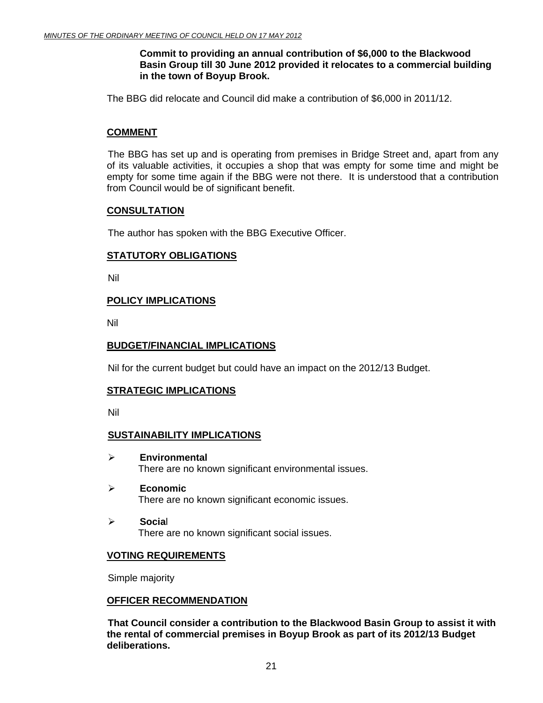#### **Commit to providing an annual contribution of \$6,000 to the Blackwood Basin Group till 30 June 2012 provided it relocates to a commercial building in the town of Boyup Brook.**

The BBG did relocate and Council did make a contribution of \$6,000 in 2011/12.

#### **COMMENT**

 The BBG has set up and is operating from premises in Bridge Street and, apart from any of its valuable activities, it occupies a shop that was empty for some time and might be empty for some time again if the BBG were not there. It is understood that a contribution from Council would be of significant benefit.

#### **CONSULTATION**

The author has spoken with the BBG Executive Officer.

#### **STATUTORY OBLIGATIONS**

Nil

#### **POLICY IMPLICATIONS**

Nil

#### **BUDGET/FINANCIAL IMPLICATIONS**

Nil for the current budget but could have an impact on the 2012/13 Budget.

#### **STRATEGIC IMPLICATIONS**

Nil

#### **SUSTAINABILITY IMPLICATIONS**

- ¾ **Environmental**  There are no known significant environmental issues.
- ¾ **Economic**  There are no known significant economic issues.
- ¾ **Socia**l There are no known significant social issues.

#### **VOTING REQUIREMENTS**

Simple majority

#### **OFFICER RECOMMENDATION**

**That Council consider a contribution to the Blackwood Basin Group to assist it with the rental of commercial premises in Boyup Brook as part of its 2012/13 Budget deliberations.**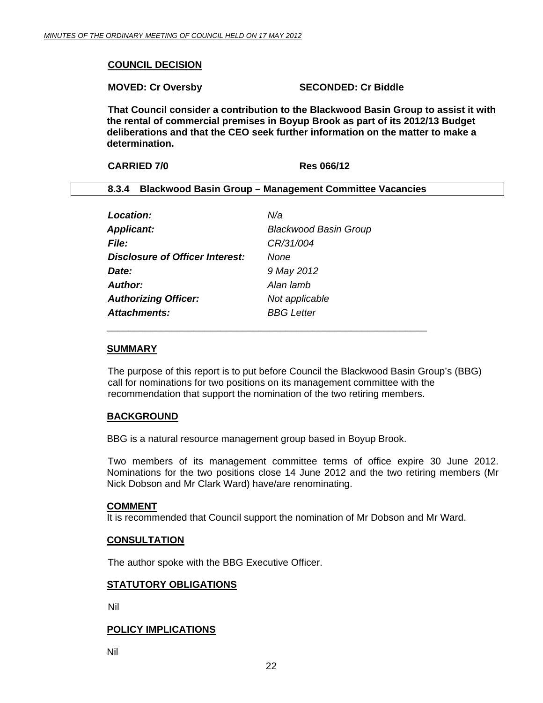#### <span id="page-21-0"></span>**COUNCIL DECISION**

**MOVED: Cr Oversby SECONDED: Cr Biddle** 

**That Council consider a contribution to the Blackwood Basin Group to assist it with the rental of commercial premises in Boyup Brook as part of its 2012/13 Budget deliberations and that the CEO seek further information on the matter to make a determination.** 

| <b>CARRIED 7/0</b> | <b>Res 066/12</b>                                             |
|--------------------|---------------------------------------------------------------|
|                    | <b>Blackwood Basin Group - Management Committee Vacancies</b> |

| <b>Location:</b>                       | N/a                          |
|----------------------------------------|------------------------------|
| <b>Applicant:</b>                      | <b>Blackwood Basin Group</b> |
| <b>File:</b>                           | CR/31/004                    |
| <b>Disclosure of Officer Interest:</b> | <b>None</b>                  |
| Date:                                  | 9 May 2012                   |
| <b>Author:</b>                         | Alan lamb                    |
| <b>Authorizing Officer:</b>            | Not applicable               |
| Attachments:                           | <b>BBG</b> Letter            |
|                                        |                              |

#### **SUMMARY**

The purpose of this report is to put before Council the Blackwood Basin Group's (BBG) call for nominations for two positions on its management committee with the recommendation that support the nomination of the two retiring members.

#### **BACKGROUND**

BBG is a natural resource management group based in Boyup Brook.

 Two members of its management committee terms of office expire 30 June 2012. Nominations for the two positions close 14 June 2012 and the two retiring members (Mr Nick Dobson and Mr Clark Ward) have/are renominating.

#### **COMMENT**

It is recommended that Council support the nomination of Mr Dobson and Mr Ward.

#### **CONSULTATION**

The author spoke with the BBG Executive Officer.

#### **STATUTORY OBLIGATIONS**

Nil

#### **POLICY IMPLICATIONS**

Nil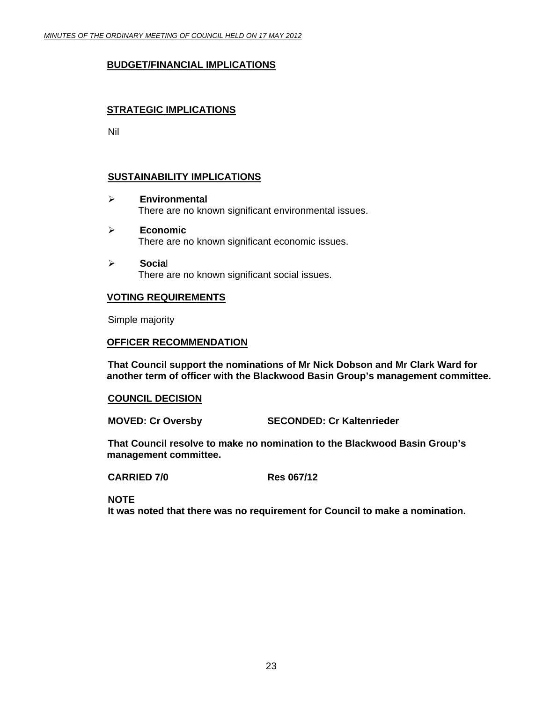#### **BUDGET/FINANCIAL IMPLICATIONS**

#### **STRATEGIC IMPLICATIONS**

Nil

#### **SUSTAINABILITY IMPLICATIONS**

- ¾ **Environmental**  There are no known significant environmental issues.
- ¾ **Economic**  There are no known significant economic issues.
- ¾ **Socia**l There are no known significant social issues.

#### **VOTING REQUIREMENTS**

Simple majority

#### **OFFICER RECOMMENDATION**

**That Council support the nominations of Mr Nick Dobson and Mr Clark Ward for another term of officer with the Blackwood Basin Group's management committee.** 

#### **COUNCIL DECISION**

**MOVED: Cr Oversby SECONDED: Cr Kaltenrieder** 

**That Council resolve to make no nomination to the Blackwood Basin Group's management committee.** 

**CARRIED 7/0 Res 067/12** 

**NOTE** 

**It was noted that there was no requirement for Council to make a nomination.**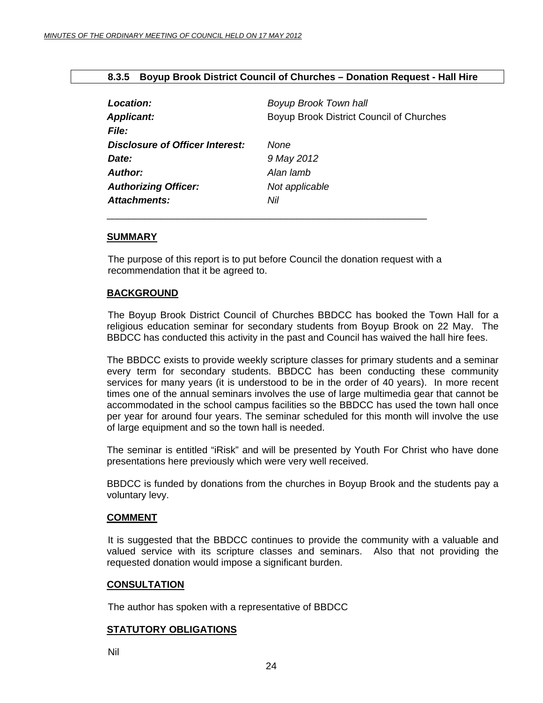#### **8.3.5 Boyup Brook District Council of Churches – Donation Request - Hall Hire**

<span id="page-23-0"></span>

| Location:                       | <b>Boyup Brook Town hall</b>             |
|---------------------------------|------------------------------------------|
| <b>Applicant:</b>               | Boyup Brook District Council of Churches |
| <i>File:</i>                    |                                          |
| Disclosure of Officer Interest: | None                                     |
| Date:                           | 9 May 2012                               |
| Author:                         | Alan lamb                                |
| <b>Authorizing Officer:</b>     | Not applicable                           |
| Attachments:                    | Nil                                      |
|                                 |                                          |

#### **SUMMARY**

The purpose of this report is to put before Council the donation request with a recommendation that it be agreed to.

#### **BACKGROUND**

 The Boyup Brook District Council of Churches BBDCC has booked the Town Hall for a religious education seminar for secondary students from Boyup Brook on 22 May. The BBDCC has conducted this activity in the past and Council has waived the hall hire fees.

The BBDCC exists to provide weekly scripture classes for primary students and a seminar every term for secondary students. BBDCC has been conducting these community services for many years (it is understood to be in the order of 40 years). In more recent times one of the annual seminars involves the use of large multimedia gear that cannot be accommodated in the school campus facilities so the BBDCC has used the town hall once per year for around four years. The seminar scheduled for this month will involve the use of large equipment and so the town hall is needed.

The seminar is entitled "iRisk" and will be presented by Youth For Christ who have done presentations here previously which were very well received.

BBDCC is funded by donations from the churches in Boyup Brook and the students pay a voluntary levy.

#### **COMMENT**

 It is suggested that the BBDCC continues to provide the community with a valuable and valued service with its scripture classes and seminars. Also that not providing the requested donation would impose a significant burden.

#### **CONSULTATION**

The author has spoken with a representative of BBDCC

#### **STATUTORY OBLIGATIONS**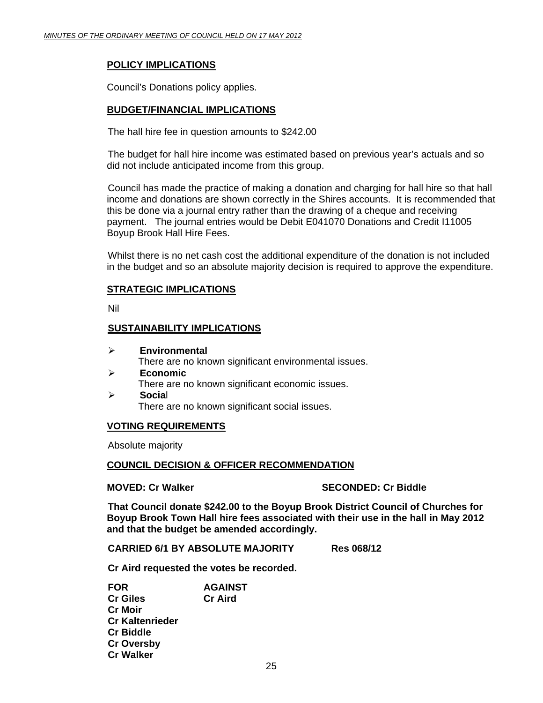#### **POLICY IMPLICATIONS**

Council's Donations policy applies.

#### **BUDGET/FINANCIAL IMPLICATIONS**

The hall hire fee in question amounts to \$242.00

The budget for hall hire income was estimated based on previous year's actuals and so did not include anticipated income from this group.

Council has made the practice of making a donation and charging for hall hire so that hall income and donations are shown correctly in the Shires accounts. It is recommended that this be done via a journal entry rather than the drawing of a cheque and receiving payment. The journal entries would be Debit E041070 Donations and Credit I11005 Boyup Brook Hall Hire Fees.

Whilst there is no net cash cost the additional expenditure of the donation is not included in the budget and so an absolute majority decision is required to approve the expenditure.

#### **STRATEGIC IMPLICATIONS**

Nil

#### **SUSTAINABILITY IMPLICATIONS**

- ¾ **Environmental**  There are no known significant environmental issues.
- ¾ **Economic**  There are no known significant economic issues. ¾ **Socia**l
	- There are no known significant social issues.

#### **VOTING REQUIREMENTS**

Absolute majority

#### **COUNCIL DECISION & OFFICER RECOMMENDATION**

#### **MOVED: Cr Walker SECONDED: Cr Biddle**

**That Council donate \$242.00 to the Boyup Brook District Council of Churches for Boyup Brook Town Hall hire fees associated with their use in the hall in May 2012 and that the budget be amended accordingly.** 

**CARRIED 6/1 BY ABSOLUTE MAJORITY Res 068/12** 

 **Cr Aird requested the votes be recorded.** 

 **FOR AGAINST Cr Giles Cr Aird Cr Moir Cr Kaltenrieder Cr Biddle Cr Oversby Cr Walker**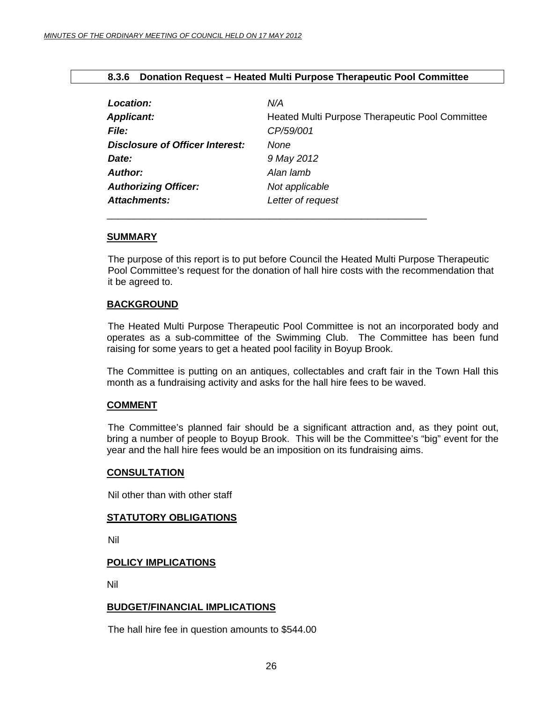<span id="page-25-0"></span>

|  |  |  |  |  | 8.3.6 Donation Request – Heated Multi Purpose Therapeutic Pool Committee |
|--|--|--|--|--|--------------------------------------------------------------------------|
|--|--|--|--|--|--------------------------------------------------------------------------|

| Location:                              | N/A                                             |
|----------------------------------------|-------------------------------------------------|
| <b>Applicant:</b>                      | Heated Multi Purpose Therapeutic Pool Committee |
| <b>File:</b>                           | CP/59/001                                       |
| <b>Disclosure of Officer Interest:</b> | None                                            |
| Date:                                  | 9 May 2012                                      |
| <b>Author:</b>                         | Alan lamb                                       |
| <b>Authorizing Officer:</b>            | Not applicable                                  |
| <b>Attachments:</b>                    | Letter of request                               |

\_\_\_\_\_\_\_\_\_\_\_\_\_\_\_\_\_\_\_\_\_\_\_\_\_\_\_\_\_\_\_\_\_\_\_\_\_\_\_\_\_\_\_\_\_\_\_\_\_\_\_\_\_\_\_\_\_\_\_

#### **SUMMARY**

The purpose of this report is to put before Council the Heated Multi Purpose Therapeutic Pool Committee's request for the donation of hall hire costs with the recommendation that it be agreed to.

#### **BACKGROUND**

 The Heated Multi Purpose Therapeutic Pool Committee is not an incorporated body and operates as a sub-committee of the Swimming Club. The Committee has been fund raising for some years to get a heated pool facility in Boyup Brook.

The Committee is putting on an antiques, collectables and craft fair in the Town Hall this month as a fundraising activity and asks for the hall hire fees to be waved.

#### **COMMENT**

 The Committee's planned fair should be a significant attraction and, as they point out, bring a number of people to Boyup Brook. This will be the Committee's "big" event for the year and the hall hire fees would be an imposition on its fundraising aims.

#### **CONSULTATION**

Nil other than with other staff

#### **STATUTORY OBLIGATIONS**

Nil

#### **POLICY IMPLICATIONS**

Nil

#### **BUDGET/FINANCIAL IMPLICATIONS**

The hall hire fee in question amounts to \$544.00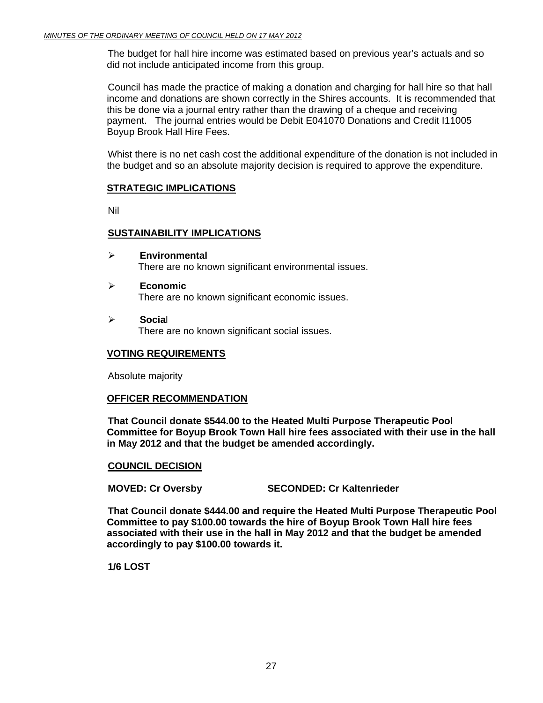The budget for hall hire income was estimated based on previous year's actuals and so did not include anticipated income from this group.

Council has made the practice of making a donation and charging for hall hire so that hall income and donations are shown correctly in the Shires accounts. It is recommended that this be done via a journal entry rather than the drawing of a cheque and receiving payment. The journal entries would be Debit E041070 Donations and Credit I11005 Boyup Brook Hall Hire Fees.

Whist there is no net cash cost the additional expenditure of the donation is not included in the budget and so an absolute majority decision is required to approve the expenditure.

#### **STRATEGIC IMPLICATIONS**

Nil

#### **SUSTAINABILITY IMPLICATIONS**

- ¾ **Environmental**  There are no known significant environmental issues.
- ¾ **Economic**  There are no known significant economic issues.
- ¾ **Socia**l There are no known significant social issues.

#### **VOTING REQUIREMENTS**

Absolute majority

#### **OFFICER RECOMMENDATION**

**That Council donate \$544.00 to the Heated Multi Purpose Therapeutic Pool Committee for Boyup Brook Town Hall hire fees associated with their use in the hall in May 2012 and that the budget be amended accordingly.** 

#### **COUNCIL DECISION**

**MOVED: Cr Oversby SECONDED: Cr Kaltenrieder** 

**That Council donate \$444.00 and require the Heated Multi Purpose Therapeutic Pool Committee to pay \$100.00 towards the hire of Boyup Brook Town Hall hire fees associated with their use in the hall in May 2012 and that the budget be amended accordingly to pay \$100.00 towards it.** 

**1/6 LOST**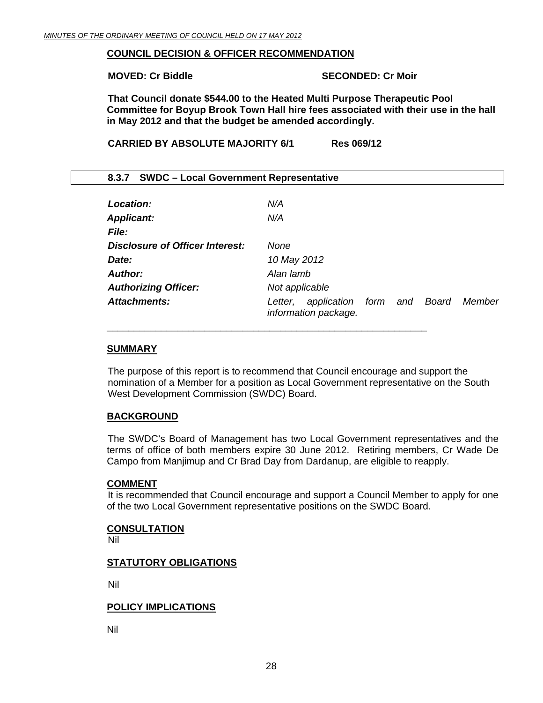#### <span id="page-27-0"></span>**COUNCIL DECISION & OFFICER RECOMMENDATION**

#### **MOVED: Cr Biddle SECONDED: Cr Moir**

**That Council donate \$544.00 to the Heated Multi Purpose Therapeutic Pool Committee for Boyup Brook Town Hall hire fees associated with their use in the hall in May 2012 and that the budget be amended accordingly.** 

**CARRIED BY ABSOLUTE MAJORITY 6/1 Res 069/12** 

\_\_\_\_\_\_\_\_\_\_\_\_\_\_\_\_\_\_\_\_\_\_\_\_\_\_\_\_\_\_\_\_\_\_\_\_\_\_\_\_\_\_\_\_\_\_\_\_\_\_\_\_\_\_\_\_\_\_\_

| 8.3.7 SWDC - Local Government Representative |                                                     |     |       |        |
|----------------------------------------------|-----------------------------------------------------|-----|-------|--------|
| Location:                                    | N/A                                                 |     |       |        |
| <b>Applicant:</b>                            | N/A                                                 |     |       |        |
| File:                                        |                                                     |     |       |        |
| Disclosure of Officer Interest:              | None                                                |     |       |        |
| Date:                                        | 10 May 2012                                         |     |       |        |
| Author:                                      | Alan lamb                                           |     |       |        |
| <b>Authorizing Officer:</b>                  | Not applicable                                      |     |       |        |
| Attachments:                                 | application form<br>Letter,<br>information package. | and | Board | Member |

#### **SUMMARY**

The purpose of this report is to recommend that Council encourage and support the nomination of a Member for a position as Local Government representative on the South West Development Commission (SWDC) Board.

#### **BACKGROUND**

 The SWDC's Board of Management has two Local Government representatives and the terms of office of both members expire 30 June 2012. Retiring members, Cr Wade De Campo from Manjimup and Cr Brad Day from Dardanup, are eligible to reapply.

#### **COMMENT**

 It is recommended that Council encourage and support a Council Member to apply for one of the two Local Government representative positions on the SWDC Board.

#### **CONSULTATION**

Nil

#### **STATUTORY OBLIGATIONS**

Nil

#### **POLICY IMPLICATIONS**

Nil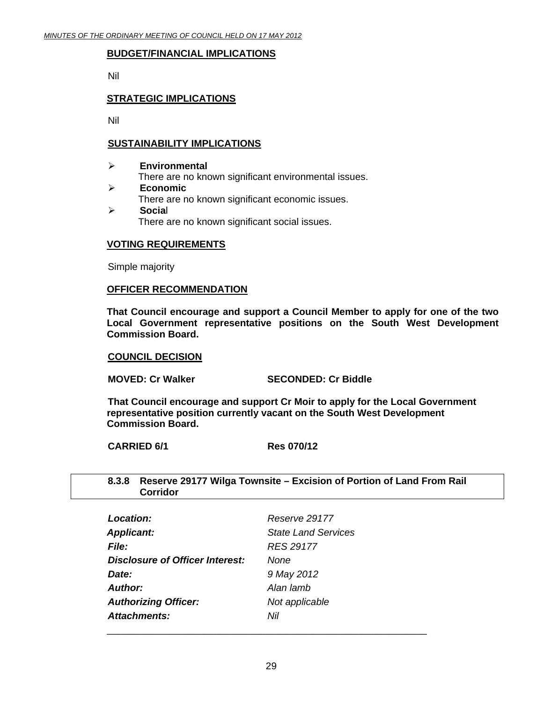#### <span id="page-28-0"></span>**BUDGET/FINANCIAL IMPLICATIONS**

Nil

#### **STRATEGIC IMPLICATIONS**

Nil

#### **SUSTAINABILITY IMPLICATIONS**

#### ¾ **Environmental**  There are no known significant environmental issues. ¾ **Economic**  There are no known significant economic issues. ¾ **Socia**l

There are no known significant social issues.

#### **VOTING REQUIREMENTS**

Simple majority

#### **OFFICER RECOMMENDATION**

**That Council encourage and support a Council Member to apply for one of the two Local Government representative positions on the South West Development Commission Board.** 

#### **COUNCIL DECISION**

**MOVED: Cr Walker SECONDED: Cr Biddle** 

**That Council encourage and support Cr Moir to apply for the Local Government representative position currently vacant on the South West Development Commission Board.** 

**CARRIED 6/1 Res 070/12** 

#### **8.3.8 Reserve 29177 Wilga Townsite – Excision of Portion of Land From Rail Corridor**

| Location:                              | Reserve 29177              |
|----------------------------------------|----------------------------|
| <b>Applicant:</b>                      | <b>State Land Services</b> |
| <b>File:</b>                           | <b>RES 29177</b>           |
| <b>Disclosure of Officer Interest:</b> | None                       |
| Date:                                  | 9 May 2012                 |
| <b>Author:</b>                         | Alan lamb                  |
| <b>Authorizing Officer:</b>            | Not applicable             |
| <b>Attachments:</b>                    | Nil                        |
|                                        |                            |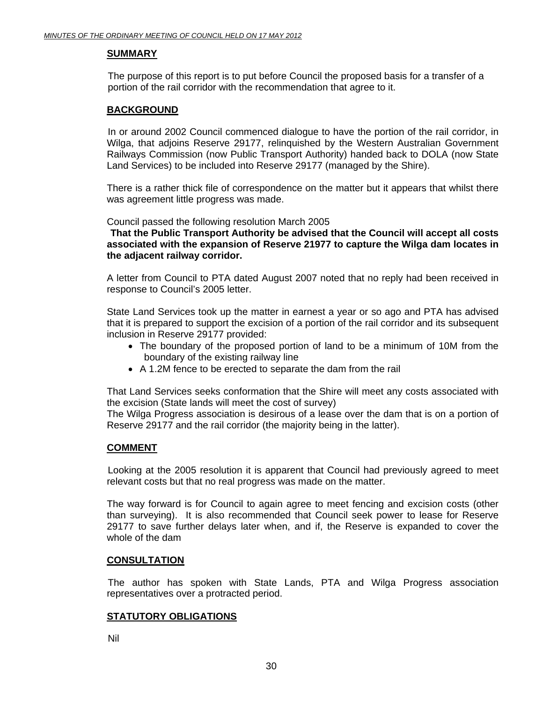#### **SUMMARY**

The purpose of this report is to put before Council the proposed basis for a transfer of a portion of the rail corridor with the recommendation that agree to it.

#### **BACKGROUND**

 In or around 2002 Council commenced dialogue to have the portion of the rail corridor, in Wilga, that adjoins Reserve 29177, relinquished by the Western Australian Government Railways Commission (now Public Transport Authority) handed back to DOLA (now State Land Services) to be included into Reserve 29177 (managed by the Shire).

There is a rather thick file of correspondence on the matter but it appears that whilst there was agreement little progress was made.

Council passed the following resolution March 2005

**That the Public Transport Authority be advised that the Council will accept all costs associated with the expansion of Reserve 21977 to capture the Wilga dam locates in the adjacent railway corridor.** 

A letter from Council to PTA dated August 2007 noted that no reply had been received in response to Council's 2005 letter.

State Land Services took up the matter in earnest a year or so ago and PTA has advised that it is prepared to support the excision of a portion of the rail corridor and its subsequent inclusion in Reserve 29177 provided:

- The boundary of the proposed portion of land to be a minimum of 10M from the boundary of the existing railway line
- A 1.2M fence to be erected to separate the dam from the rail

That Land Services seeks conformation that the Shire will meet any costs associated with the excision (State lands will meet the cost of survey)

The Wilga Progress association is desirous of a lease over the dam that is on a portion of Reserve 29177 and the rail corridor (the majority being in the latter).

#### **COMMENT**

 Looking at the 2005 resolution it is apparent that Council had previously agreed to meet relevant costs but that no real progress was made on the matter.

The way forward is for Council to again agree to meet fencing and excision costs (other than surveying). It is also recommended that Council seek power to lease for Reserve 29177 to save further delays later when, and if, the Reserve is expanded to cover the whole of the dam

#### **CONSULTATION**

 The author has spoken with State Lands, PTA and Wilga Progress association representatives over a protracted period.

#### **STATUTORY OBLIGATIONS**

Nil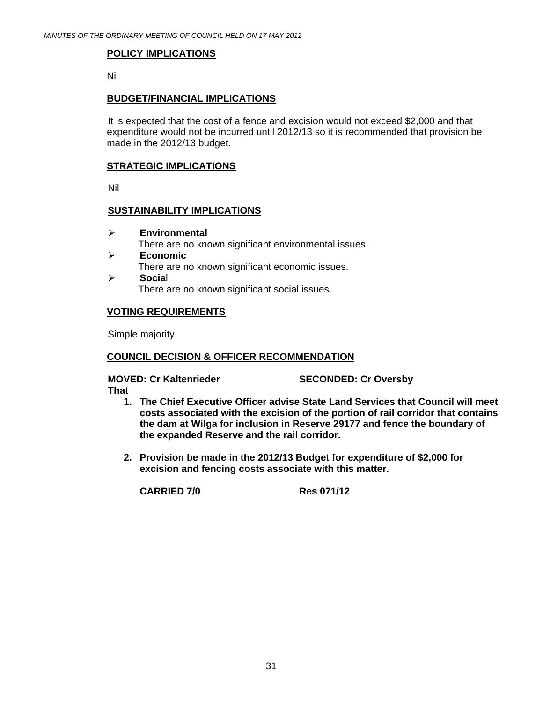#### **POLICY IMPLICATIONS**

Nil

#### **BUDGET/FINANCIAL IMPLICATIONS**

It is expected that the cost of a fence and excision would not exceed \$2,000 and that expenditure would not be incurred until 2012/13 so it is recommended that provision be made in the 2012/13 budget.

#### **STRATEGIC IMPLICATIONS**

Nil

#### **SUSTAINABILITY IMPLICATIONS**

- ¾ **Environmental**  There are no known significant environmental issues.
- ¾ **Economic**  There are no known significant economic issues.
- ¾ **Socia**l There are no known significant social issues.

#### **VOTING REQUIREMENTS**

Simple majority

#### **COUNCIL DECISION & OFFICER RECOMMENDATION**

#### **MOVED: Cr Kaltenrieder SECONDED: Cr Oversby That**

- **1. The Chief Executive Officer advise State Land Services that Council will meet costs associated with the excision of the portion of rail corridor that contains the dam at Wilga for inclusion in Reserve 29177 and fence the boundary of the expanded Reserve and the rail corridor.**
- **2. Provision be made in the 2012/13 Budget for expenditure of \$2,000 for excision and fencing costs associate with this matter.**

**CARRIED 7/0 Res 071/12**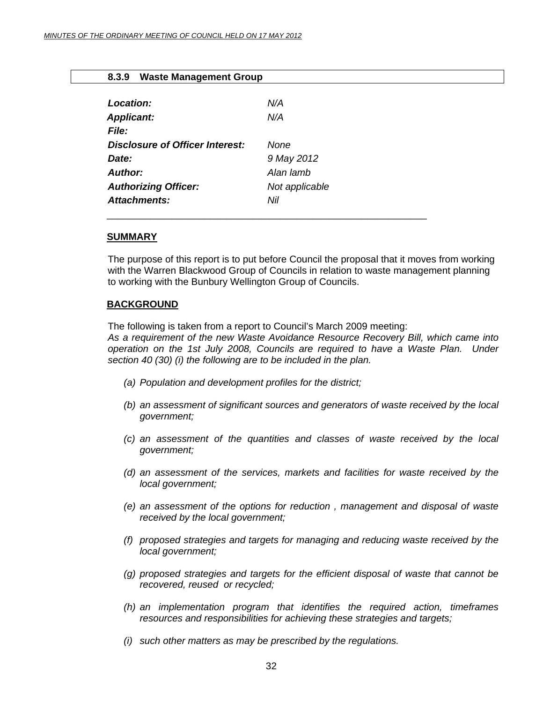| 8.3.9 Waste Management Group |  |
|------------------------------|--|
|------------------------------|--|

<span id="page-31-0"></span>

| <b>Location:</b>                | N/A            |
|---------------------------------|----------------|
| <b>Applicant:</b>               | N/A            |
| <b>File:</b>                    |                |
| Disclosure of Officer Interest: | None           |
| Date:                           | 9 May 2012     |
| Author:                         | Alan lamb      |
| <b>Authorizing Officer:</b>     | Not applicable |
| <b>Attachments:</b>             | Nil            |

#### **SUMMARY**

The purpose of this report is to put before Council the proposal that it moves from working with the Warren Blackwood Group of Councils in relation to waste management planning to working with the Bunbury Wellington Group of Councils.

#### **BACKGROUND**

The following is taken from a report to Council's March 2009 meeting: *As a requirement of the new Waste Avoidance Resource Recovery Bill, which came into operation on the 1st July 2008, Councils are required to have a Waste Plan. Under section 40 (30) (i) the following are to be included in the plan.* 

- *(a) Population and development profiles for the district;*
- *(b) an assessment of significant sources and generators of waste received by the local government;*
- *(c) an assessment of the quantities and classes of waste received by the local government;*
- *(d) an assessment of the services, markets and facilities for waste received by the local government;*
- *(e) an assessment of the options for reduction , management and disposal of waste received by the local government;*
- *(f) proposed strategies and targets for managing and reducing waste received by the local government;*
- *(g) proposed strategies and targets for the efficient disposal of waste that cannot be recovered, reused or recycled;*
- *(h) an implementation program that identifies the required action, timeframes resources and responsibilities for achieving these strategies and targets;*
- *(i) such other matters as may be prescribed by the regulations.*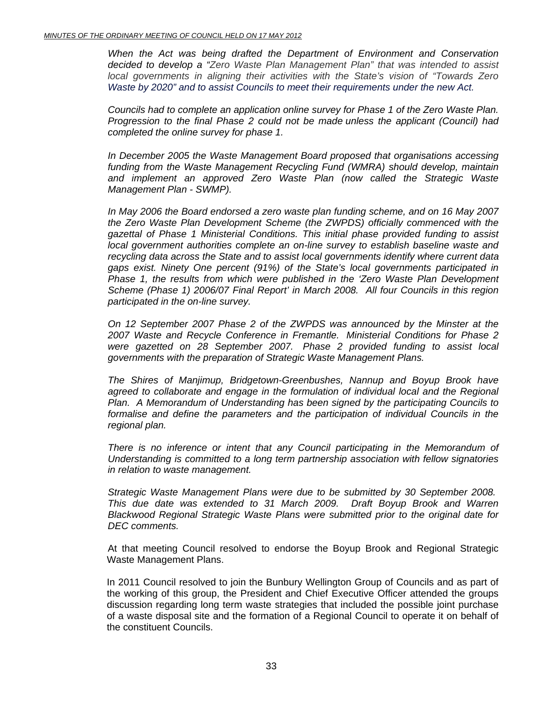*When the Act was being drafted the Department of Environment and Conservation decided to develop a "Zero Waste Plan Management Plan" that was intended to assist local governments in aligning their activities with the State's vision of "Towards Zero Waste by 2020" and to assist Councils to meet their requirements under the new Act.*

*Councils had to complete an application online survey for Phase 1 of the Zero Waste Plan. Progression to the final Phase 2 could not be made unless the applicant (Council) had completed the online survey for phase 1.* 

*In December 2005 the Waste Management Board proposed that organisations accessing funding from the Waste Management Recycling Fund (WMRA) should develop, maintain and implement an approved Zero Waste Plan (now called the Strategic Waste Management Plan - SWMP).* 

*In May 2006 the Board endorsed a zero waste plan funding scheme, and on 16 May 2007 the Zero Waste Plan Development Scheme (the ZWPDS) officially commenced with the gazettal of Phase 1 Ministerial Conditions. This initial phase provided funding to assist local government authorities complete an on-line survey to establish baseline waste and recycling data across the State and to assist local governments identify where current data gaps exist. Ninety One percent (91%) of the State's local governments participated in Phase 1, the results from which were published in the 'Zero Waste Plan Development Scheme (Phase 1) 2006/07 Final Report' in March 2008. All four Councils in this region participated in the on-line survey.* 

*On 12 September 2007 Phase 2 of the ZWPDS was announced by the Minster at the 2007 Waste and Recycle Conference in Fremantle. Ministerial Conditions for Phase 2 were gazetted on 28 September 2007. Phase 2 provided funding to assist local governments with the preparation of Strategic Waste Management Plans.* 

*The Shires of Manjimup, Bridgetown-Greenbushes, Nannup and Boyup Brook have*  agreed to collaborate and engage in the formulation of individual local and the Regional *Plan. A Memorandum of Understanding has been signed by the participating Councils to formalise and define the parameters and the participation of individual Councils in the regional plan.* 

*There is no inference or intent that any Council participating in the Memorandum of Understanding is committed to a long term partnership association with fellow signatories in relation to waste management.* 

*Strategic Waste Management Plans were due to be submitted by 30 September 2008. This due date was extended to 31 March 2009. Draft Boyup Brook and Warren Blackwood Regional Strategic Waste Plans were submitted prior to the original date for DEC comments.* 

 At that meeting Council resolved to endorse the Boyup Brook and Regional Strategic Waste Management Plans.

In 2011 Council resolved to join the Bunbury Wellington Group of Councils and as part of the working of this group, the President and Chief Executive Officer attended the groups discussion regarding long term waste strategies that included the possible joint purchase of a waste disposal site and the formation of a Regional Council to operate it on behalf of the constituent Councils.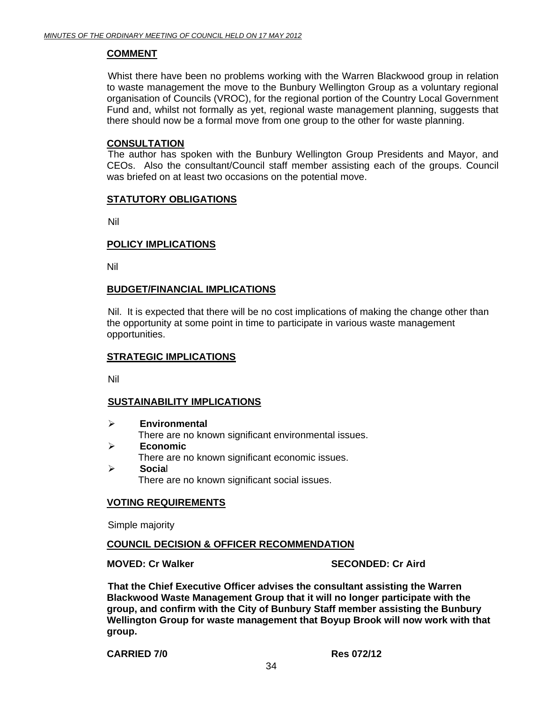#### **COMMENT**

 Whist there have been no problems working with the Warren Blackwood group in relation to waste management the move to the Bunbury Wellington Group as a voluntary regional organisation of Councils (VROC), for the regional portion of the Country Local Government Fund and, whilst not formally as yet, regional waste management planning, suggests that there should now be a formal move from one group to the other for waste planning.

#### **CONSULTATION**

 The author has spoken with the Bunbury Wellington Group Presidents and Mayor, and CEOs. Also the consultant/Council staff member assisting each of the groups. Council was briefed on at least two occasions on the potential move.

#### **STATUTORY OBLIGATIONS**

Nil

#### **POLICY IMPLICATIONS**

Nil

#### **BUDGET/FINANCIAL IMPLICATIONS**

Nil. It is expected that there will be no cost implications of making the change other than the opportunity at some point in time to participate in various waste management opportunities.

#### **STRATEGIC IMPLICATIONS**

Nil

#### **SUSTAINABILITY IMPLICATIONS**

- ¾ **Environmental**  There are no known significant environmental issues. ¾ **Economic** 
	- There are no known significant economic issues.
- ¾ **Socia**l There are no known significant social issues.

#### **VOTING REQUIREMENTS**

Simple majority

#### **COUNCIL DECISION & OFFICER RECOMMENDATION**

**MOVED: Cr Walker SECONDED: Cr Aird 3** 

**That the Chief Executive Officer advises the consultant assisting the Warren Blackwood Waste Management Group that it will no longer participate with the group, and confirm with the City of Bunbury Staff member assisting the Bunbury Wellington Group for waste management that Boyup Brook will now work with that group.** 

#### **CARRIED 7/0 Res 072/12**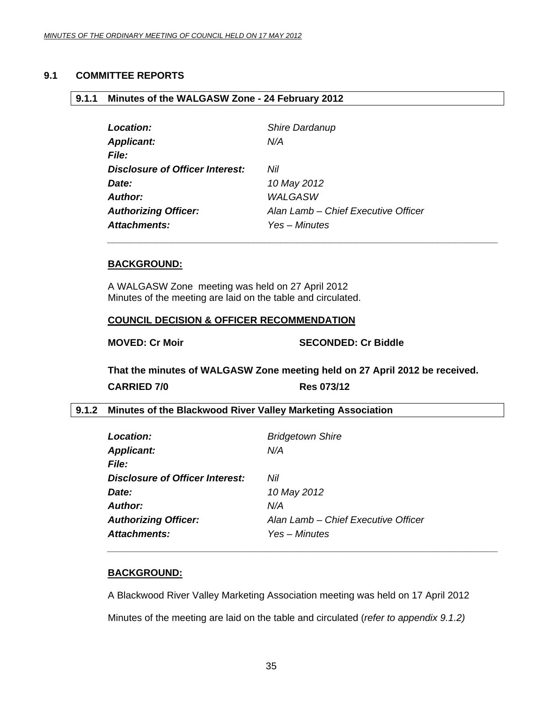#### <span id="page-34-0"></span>**9.1 COMMITTEE REPORTS**

#### **9.1.1 Minutes of the WALGASW Zone - 24 February 2012**

| Location:                              | Shire Dardanup                      |
|----------------------------------------|-------------------------------------|
| <b>Applicant:</b>                      | N/A                                 |
| <b>File:</b>                           |                                     |
| <b>Disclosure of Officer Interest:</b> | Nil                                 |
| Date:                                  | 10 May 2012                         |
| <b>Author:</b>                         | <b>WALGASW</b>                      |
| <b>Authorizing Officer:</b>            | Alan Lamb - Chief Executive Officer |
| <b>Attachments:</b>                    | Yes – Minutes                       |

#### **BACKGROUND:**

A WALGASW Zone meeting was held on 27 April 2012 Minutes of the meeting are laid on the table and circulated.

#### **COUNCIL DECISION & OFFICER RECOMMENDATION**

**MOVED: Cr Moir** SECONDED: Cr Biddle

**That the minutes of WALGASW Zone meeting held on 27 April 2012 be received.** 

| <b>CARRIED 7/0</b> |  |
|--------------------|--|
|--------------------|--|

**CARRIED 7/0 Res 073/12** 

#### **9.1.2 Minutes of the Blackwood River Valley Marketing Association**

| Location:                              | <b>Bridgetown Shire</b>             |
|----------------------------------------|-------------------------------------|
| <b>Applicant:</b>                      | N/A                                 |
| <i>File:</i>                           |                                     |
| <b>Disclosure of Officer Interest:</b> | Nil                                 |
| Date:                                  | 10 May 2012                         |
| <b>Author:</b>                         | N/A                                 |
| <b>Authorizing Officer:</b>            | Alan Lamb - Chief Executive Officer |
| <b>Attachments:</b>                    | Yes – Minutes                       |

#### **BACKGROUND:**

A Blackwood River Valley Marketing Association meeting was held on 17 April 2012 Minutes of the meeting are laid on the table and circulated (*refer to appendix 9.1.2)* 

*\_\_\_\_\_\_\_\_\_\_\_\_\_\_\_\_\_\_\_\_\_\_\_\_\_\_\_\_\_\_\_\_\_\_\_\_\_\_\_\_\_\_\_\_\_\_\_\_\_\_\_\_\_\_\_\_\_\_\_\_\_\_\_\_\_\_\_\_\_\_\_\_*